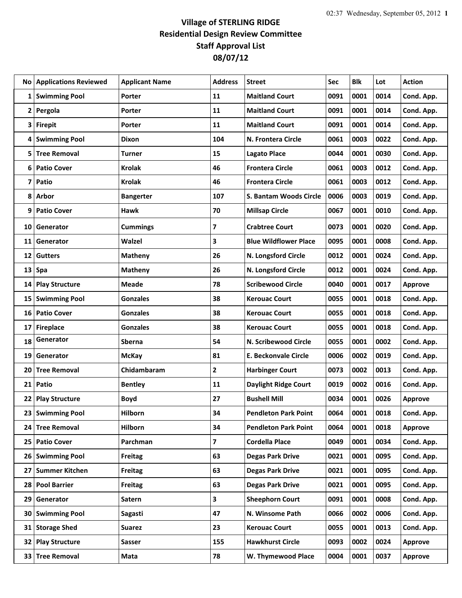## **Village of STERLING RIDGE Residential Design Review Committee Staff Approval List 08/07/12**

|                 | No   Applications Reviewed | <b>Applicant Name</b> | <b>Address</b> | <b>Street</b>                | Sec  | <b>Blk</b> | Lot  | <b>Action</b>  |
|-----------------|----------------------------|-----------------------|----------------|------------------------------|------|------------|------|----------------|
| 1               | <b>Swimming Pool</b>       | Porter                | 11             | <b>Maitland Court</b>        | 0091 | 0001       | 0014 | Cond. App.     |
| 2               | Pergola                    | Porter                | 11             | <b>Maitland Court</b>        | 0091 | 0001       | 0014 | Cond. App.     |
| 3               | <b>Firepit</b>             | Porter                | 11             | <b>Maitland Court</b>        | 0091 | 0001       | 0014 | Cond. App.     |
| 4               | <b>Swimming Pool</b>       | Dixon                 | 104            | N. Frontera Circle           | 0061 | 0003       | 0022 | Cond. App.     |
| 5               | <b>Tree Removal</b>        | <b>Turner</b>         | 15             | <b>Lagato Place</b>          | 0044 | 0001       | 0030 | Cond. App.     |
| 6               | <b>Patio Cover</b>         | <b>Krolak</b>         | 46             | <b>Frontera Circle</b>       | 0061 | 0003       | 0012 | Cond. App.     |
| 7               | Patio                      | <b>Krolak</b>         | 46             | <b>Frontera Circle</b>       | 0061 | 0003       | 0012 | Cond. App.     |
| 8               | Arbor                      | <b>Bangerter</b>      | 107            | S. Bantam Woods Circle       | 0006 | 0003       | 0019 | Cond. App.     |
| 9               | <b>Patio Cover</b>         | <b>Hawk</b>           | 70             | <b>Millsap Circle</b>        | 0067 | 0001       | 0010 | Cond. App.     |
| 10              | Generator                  | <b>Cummings</b>       | 7              | <b>Crabtree Court</b>        | 0073 | 0001       | 0020 | Cond. App.     |
| 11              | Generator                  | Walzel                | 3              | <b>Blue Wildflower Place</b> | 0095 | 0001       | 0008 | Cond. App.     |
| 12              | <b>Gutters</b>             | <b>Matheny</b>        | 26             | N. Longsford Circle          | 0012 | 0001       | 0024 | Cond. App.     |
| 13              | Spa                        | <b>Matheny</b>        | 26             | N. Longsford Circle          | 0012 | 0001       | 0024 | Cond. App.     |
| 14              | <b>Play Structure</b>      | <b>Meade</b>          | 78             | <b>Scribewood Circle</b>     | 0040 | 0001       | 0017 | Approve        |
| 15              | <b>Swimming Pool</b>       | <b>Gonzales</b>       | 38             | <b>Kerouac Court</b>         | 0055 | 0001       | 0018 | Cond. App.     |
| 16              | <b>Patio Cover</b>         | <b>Gonzales</b>       | 38             | <b>Kerouac Court</b>         | 0055 | 0001       | 0018 | Cond. App.     |
| 17              | <b>Fireplace</b>           | <b>Gonzales</b>       | 38             | <b>Kerouac Court</b>         | 0055 | 0001       | 0018 | Cond. App.     |
| 18              | Generator                  | Sberna                | 54             | N. Scribewood Circle         | 0055 | 0001       | 0002 | Cond. App.     |
| 19              | Generator                  | <b>McKay</b>          | 81             | <b>E. Beckonvale Circle</b>  | 0006 | 0002       | 0019 | Cond. App.     |
| 20              | <b>Tree Removal</b>        | Chidambaram           | 2              | <b>Harbinger Court</b>       | 0073 | 0002       | 0013 | Cond. App.     |
| 21              | Patio                      | <b>Bentley</b>        | 11             | <b>Daylight Ridge Court</b>  | 0019 | 0002       | 0016 | Cond. App.     |
| 22              | <b>Play Structure</b>      | <b>Boyd</b>           | 27             | <b>Bushell Mill</b>          | 0034 | 0001       | 0026 | <b>Approve</b> |
| 23              | <b>Swimming Pool</b>       | Hilborn               | 34             | <b>Pendleton Park Point</b>  | 0064 | 0001       | 0018 | Cond. App.     |
| 24              | <b>Tree Removal</b>        | Hilborn               | 34             | <b>Pendleton Park Point</b>  | 0064 | 0001       | 0018 | Approve        |
| 25 <sub>1</sub> | <b>Patio Cover</b>         | Parchman              | 7              | <b>Cordella Place</b>        | 0049 | 0001       | 0034 | Cond. App.     |
| 26 <sup>1</sup> | <b>Swimming Pool</b>       | <b>Freitag</b>        | 63             | <b>Degas Park Drive</b>      | 0021 | 0001       | 0095 | Cond. App.     |
| 27              | <b>Summer Kitchen</b>      | Freitag               | 63             | <b>Degas Park Drive</b>      | 0021 | 0001       | 0095 | Cond. App.     |
| 28              | <b>Pool Barrier</b>        | <b>Freitag</b>        | 63             | <b>Degas Park Drive</b>      | 0021 | 0001       | 0095 | Cond. App.     |
| 29              | Generator                  | Satern                | 3              | <b>Sheephorn Court</b>       | 0091 | 0001       | 0008 | Cond. App.     |
| 30              | <b>Swimming Pool</b>       | Sagasti               | 47             | N. Winsome Path              | 0066 | 0002       | 0006 | Cond. App.     |
| 31              | <b>Storage Shed</b>        | <b>Suarez</b>         | 23             | <b>Kerouac Court</b>         | 0055 | 0001       | 0013 | Cond. App.     |
| 32              | <b>Play Structure</b>      | <b>Sasser</b>         | 155            | <b>Hawkhurst Circle</b>      | 0093 | 0002       | 0024 | <b>Approve</b> |
| 33              | <b>Tree Removal</b>        | Mata                  | 78             | W. Thymewood Place           | 0004 | 0001       | 0037 | <b>Approve</b> |